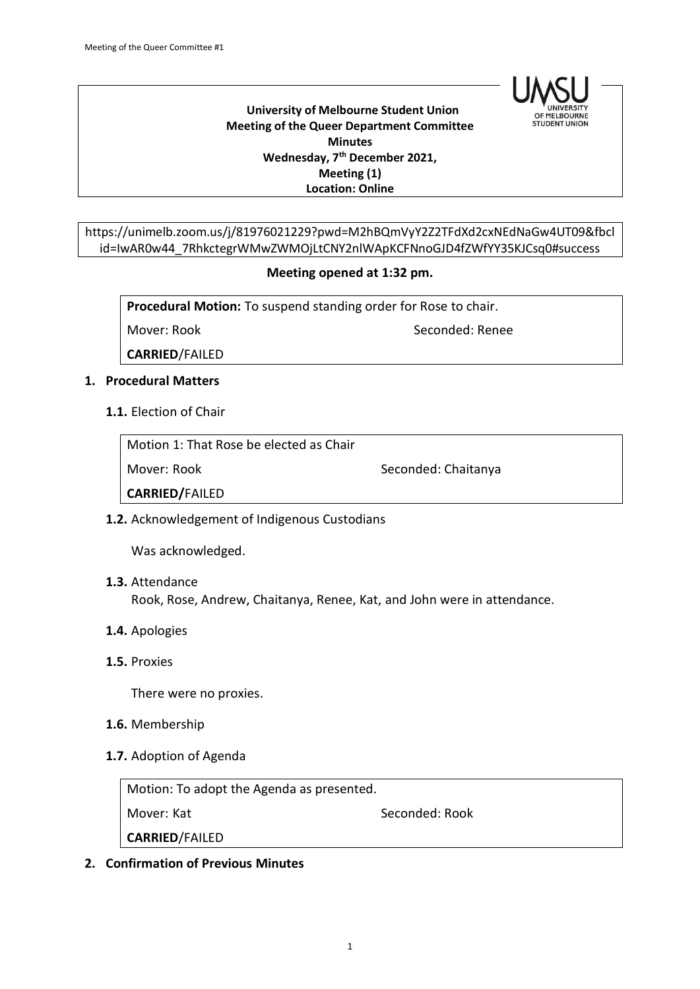

 **University of Melbourne Student Union Meeting of the Queer Department Committee Minutes Wednesday, 7th December 2021, Meeting (1) Location: Online**

https://unimelb.zoom.us/j/81976021229?pwd=M2hBQmVyY2Z2TFdXd2cxNEdNaGw4UT09&fbcl id=IwAR0w44\_7RhkctegrWMwZWMOjLtCNY2nlWApKCFNnoGJD4fZWfYY35KJCsq0#success

## **Meeting opened at 1:32 pm.**

**Procedural Motion:** To suspend standing order for Rose to chair.

Mover: Rook Seconded: Renee

**CARRIED**/FAILED

## **1. Procedural Matters**

**1.1.** Election of Chair

Motion 1: That Rose be elected as Chair

Mover: Rook Seconded: Chaitanya

**CARRIED/**FAILED

## **1.2.** Acknowledgement of Indigenous Custodians

Was acknowledged.

**1.3.** Attendance

Rook, Rose, Andrew, Chaitanya, Renee, Kat, and John were in attendance.

- **1.4.** Apologies
- **1.5.** Proxies

There were no proxies.

- **1.6.** Membership
- **1.7.** Adoption of Agenda

| Motion: To adopt the Agenda as presented. |                |  |
|-------------------------------------------|----------------|--|
| Mover: Kat                                | Seconded: Rook |  |
| <b>CARRIED/FAILED</b>                     |                |  |

## **2. Confirmation of Previous Minutes**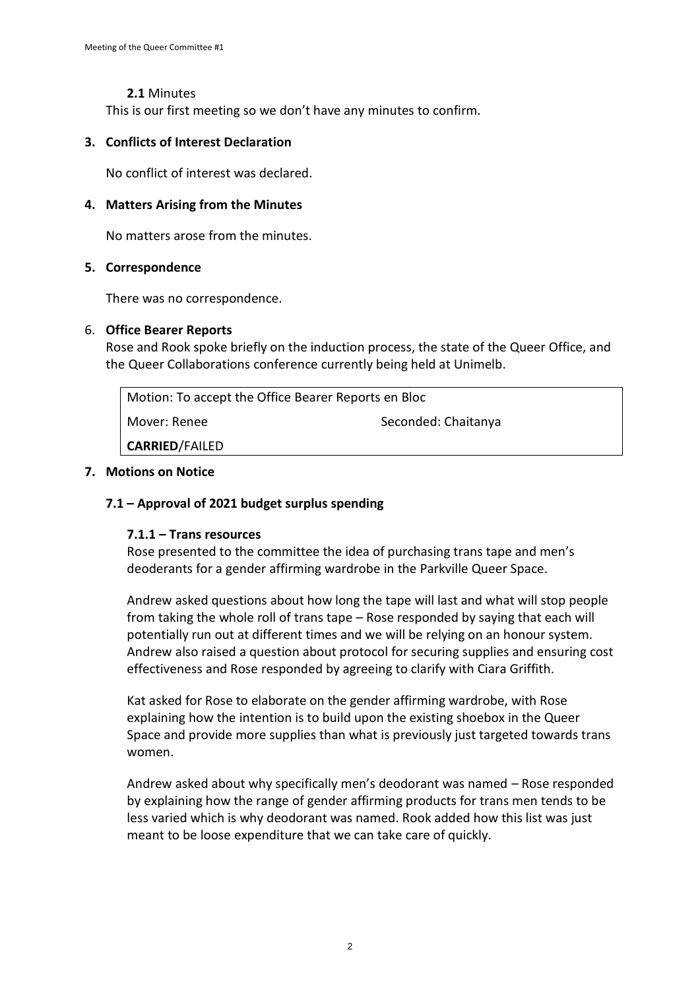## **2.1** Minutes

This is our first meeting so we don't have any minutes to confirm.

## **3. Conflicts of Interest Declaration**

No conflict of interest was declared.

## **4. Matters Arising from the Minutes**

No matters arose from the minutes.

## **5. Correspondence**

There was no correspondence.

## 6. **Office Bearer Reports**

Rose and Rook spoke briefly on the induction process, the state of the Queer Office, and the Queer Collaborations conference currently being held at Unimelb.

| Motion: To accept the Office Bearer Reports en Bloc |                     |
|-----------------------------------------------------|---------------------|
| Mover: Renee                                        | Seconded: Chaitanya |
| <b>CARRIED/FAILED</b>                               |                     |

## **7. Motions on Notice**

# **7.1 – Approval of 2021 budget surplus spending**

## **7.1.1 – Trans resources**

Rose presented to the committee the idea of purchasing trans tape and men's deoderants for a gender affirming wardrobe in the Parkville Queer Space.

Andrew asked questions about how long the tape will last and what will stop people from taking the whole roll of trans tape – Rose responded by saying that each will potentially run out at different times and we will be relying on an honour system. Andrew also raised a question about protocol for securing supplies and ensuring cost effectiveness and Rose responded by agreeing to clarify with Ciara Griffith.

Kat asked for Rose to elaborate on the gender affirming wardrobe, with Rose explaining how the intention is to build upon the existing shoebox in the Queer Space and provide more supplies than what is previously just targeted towards trans women.

Andrew asked about why specifically men's deodorant was named – Rose responded by explaining how the range of gender affirming products for trans men tends to be less varied which is why deodorant was named. Rook added how this list was just meant to be loose expenditure that we can take care of quickly.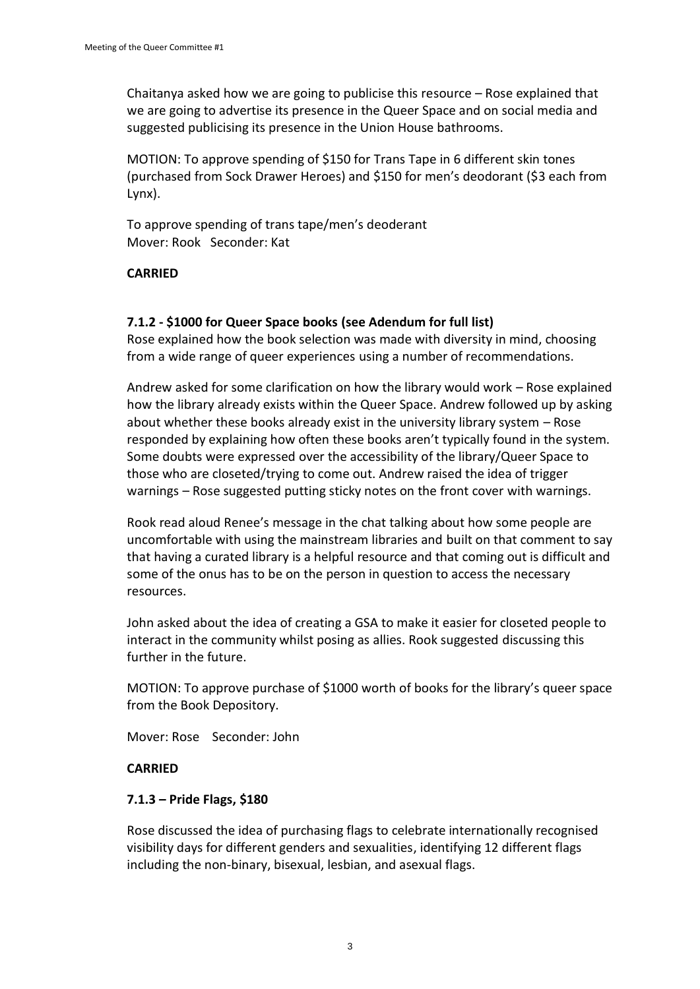Chaitanya asked how we are going to publicise this resource – Rose explained that we are going to advertise its presence in the Queer Space and on social media and suggested publicising its presence in the Union House bathrooms.

MOTION: To approve spending of \$150 for Trans Tape in 6 different skin tones (purchased from Sock Drawer Heroes) and \$150 for men's deodorant (\$3 each from Lynx).

To approve spending of trans tape/men's deoderant Mover: Rook Seconder: Kat

# **CARRIED**

# **7.1.2 - \$1000 for Queer Space books (see Adendum for full list)**

Rose explained how the book selection was made with diversity in mind, choosing from a wide range of queer experiences using a number of recommendations.

Andrew asked for some clarification on how the library would work – Rose explained how the library already exists within the Queer Space. Andrew followed up by asking about whether these books already exist in the university library system – Rose responded by explaining how often these books aren't typically found in the system. Some doubts were expressed over the accessibility of the library/Queer Space to those who are closeted/trying to come out. Andrew raised the idea of trigger warnings – Rose suggested putting sticky notes on the front cover with warnings.

Rook read aloud Renee's message in the chat talking about how some people are uncomfortable with using the mainstream libraries and built on that comment to say that having a curated library is a helpful resource and that coming out is difficult and some of the onus has to be on the person in question to access the necessary resources.

John asked about the idea of creating a GSA to make it easier for closeted people to interact in the community whilst posing as allies. Rook suggested discussing this further in the future.

MOTION: To approve purchase of \$1000 worth of books for the library's queer space from the Book Depository.

Mover: Rose Seconder: John

## **CARRIED**

## **7.1.3 – Pride Flags, \$180**

Rose discussed the idea of purchasing flags to celebrate internationally recognised visibility days for different genders and sexualities, identifying 12 different flags including the non-binary, bisexual, lesbian, and asexual flags.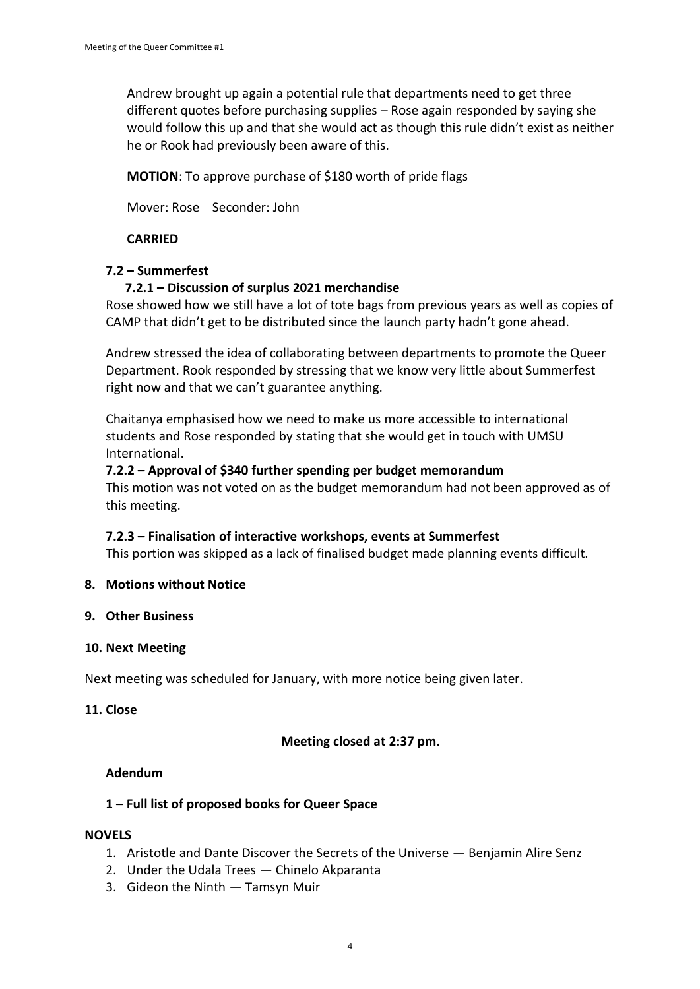Andrew brought up again a potential rule that departments need to get three different quotes before purchasing supplies – Rose again responded by saying she would follow this up and that she would act as though this rule didn't exist as neither he or Rook had previously been aware of this.

**MOTION**: To approve purchase of \$180 worth of pride flags

Mover: Rose Seconder: John

# **CARRIED**

## **7.2 – Summerfest**

## **7.2.1 – Discussion of surplus 2021 merchandise**

Rose showed how we still have a lot of tote bags from previous years as well as copies of CAMP that didn't get to be distributed since the launch party hadn't gone ahead.

Andrew stressed the idea of collaborating between departments to promote the Queer Department. Rook responded by stressing that we know very little about Summerfest right now and that we can't guarantee anything.

Chaitanya emphasised how we need to make us more accessible to international students and Rose responded by stating that she would get in touch with UMSU International.

## **7.2.2 – Approval of \$340 further spending per budget memorandum**

This motion was not voted on as the budget memorandum had not been approved as of this meeting.

## **7.2.3 – Finalisation of interactive workshops, events at Summerfest**

This portion was skipped as a lack of finalised budget made planning events difficult.

#### **8. Motions without Notice**

#### **9. Other Business**

## **10. Next Meeting**

Next meeting was scheduled for January, with more notice being given later.

#### **11. Close**

## **Meeting closed at 2:37 pm.**

#### **Adendum**

## **1 – Full list of proposed books for Queer Space**

#### **NOVELS**

- 1. Aristotle and Dante Discover the Secrets of the Universe Benjamin Alire Senz
- 2. Under the Udala Trees Chinelo Akparanta
- 3. Gideon the Ninth Tamsyn Muir